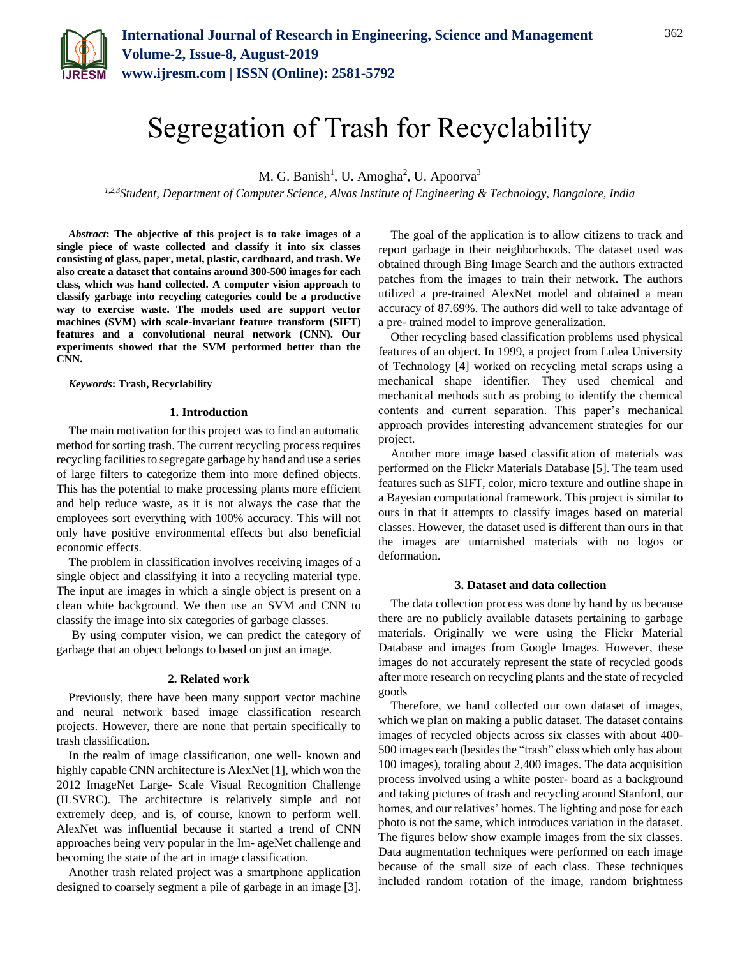

# Segregation of Trash for Recyclability

M. G. Banish<sup>1</sup>, U. Amogha<sup>2</sup>, U. Apoorva<sup>3</sup>

*1,2,3Student, Department of Computer Science, Alvas Institute of Engineering & Technology, Bangalore, India*

*Abstract***: The objective of this project is to take images of a single piece of waste collected and classify it into six classes consisting of glass, paper, metal, plastic, cardboard, and trash. We also create a dataset that contains around 300-500 images for each class, which was hand collected. A computer vision approach to classify garbage into recycling categories could be a productive way to exercise waste. The models used are support vector machines (SVM) with scale-invariant feature transform (SIFT) features and a convolutional neural network (CNN). Our experiments showed that the SVM performed better than the CNN.**

*Keywords***: Trash, Recyclability**

# **1. Introduction**

The main motivation for this project was to find an automatic method for sorting trash. The current recycling process requires recycling facilities to segregate garbage by hand and use a series of large filters to categorize them into more defined objects. This has the potential to make processing plants more efficient and help reduce waste, as it is not always the case that the employees sort everything with 100% accuracy. This will not only have positive environmental effects but also beneficial economic effects.

The problem in classification involves receiving images of a single object and classifying it into a recycling material type. The input are images in which a single object is present on a clean white background. We then use an SVM and CNN to classify the image into six categories of garbage classes.

By using computer vision, we can predict the category of garbage that an object belongs to based on just an image.

#### **2. Related work**

Previously, there have been many support vector machine and neural network based image classification research projects. However, there are none that pertain specifically to trash classification.

In the realm of image classification, one well- known and highly capable CNN architecture is AlexNet [1], which won the 2012 ImageNet Large- Scale Visual Recognition Challenge (ILSVRC). The architecture is relatively simple and not extremely deep, and is, of course, known to perform well. AlexNet was influential because it started a trend of CNN approaches being very popular in the Im- ageNet challenge and becoming the state of the art in image classification.

Another trash related project was a smartphone application designed to coarsely segment a pile of garbage in an image [3].

The goal of the application is to allow citizens to track and report garbage in their neighborhoods. The dataset used was obtained through Bing Image Search and the authors extracted patches from the images to train their network. The authors utilized a pre-trained AlexNet model and obtained a mean accuracy of 87.69%. The authors did well to take advantage of a pre- trained model to improve generalization.

Other recycling based classification problems used physical features of an object. In 1999, a project from Lulea University of Technology [4] worked on recycling metal scraps using a mechanical shape identifier. They used chemical and mechanical methods such as probing to identify the chemical contents and current separation. This paper's mechanical approach provides interesting advancement strategies for our project.

Another more image based classification of materials was performed on the Flickr Materials Database [5]. The team used features such as SIFT, color, micro texture and outline shape in a Bayesian computational framework. This project is similar to ours in that it attempts to classify images based on material classes. However, the dataset used is different than ours in that the images are untarnished materials with no logos or deformation.

#### **3. Dataset and data collection**

The data collection process was done by hand by us because there are no publicly available datasets pertaining to garbage materials. Originally we were using the Flickr Material Database and images from Google Images. However, these images do not accurately represent the state of recycled goods after more research on recycling plants and the state of recycled goods

Therefore, we hand collected our own dataset of images, which we plan on making a public dataset. The dataset contains images of recycled objects across six classes with about 400- 500 images each (besides the "trash" class which only has about 100 images), totaling about 2,400 images. The data acquisition process involved using a white poster- board as a background and taking pictures of trash and recycling around Stanford, our homes, and our relatives' homes. The lighting and pose for each photo is not the same, which introduces variation in the dataset. The figures below show example images from the six classes. Data augmentation techniques were performed on each image because of the small size of each class. These techniques included random rotation of the image, random brightness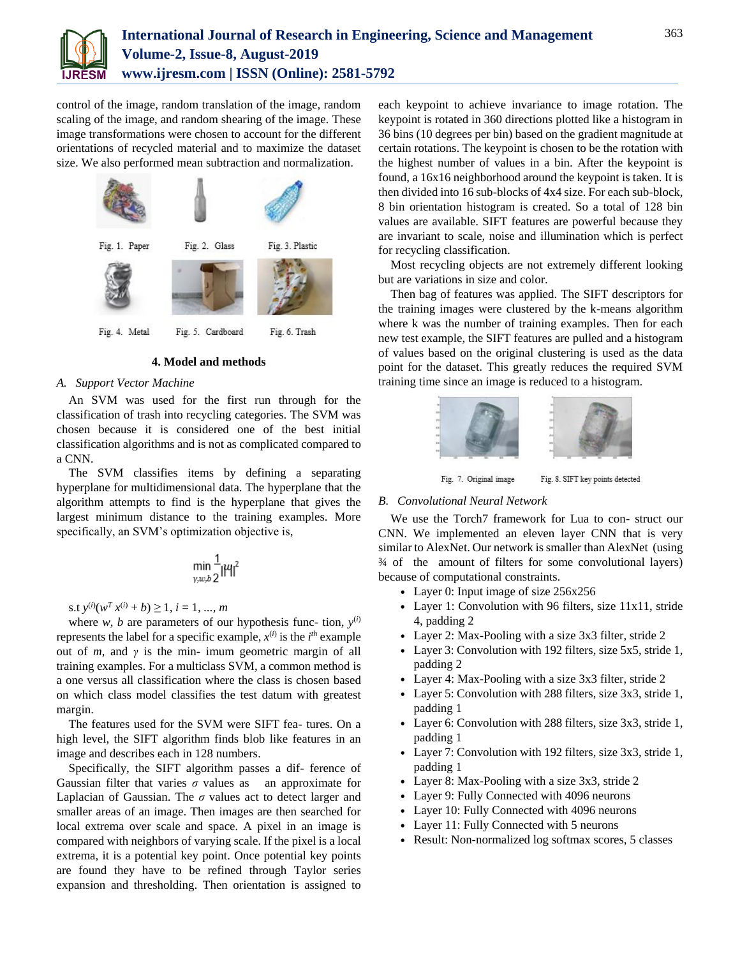

control of the image, random translation of the image, random scaling of the image, and random shearing of the image. These image transformations were chosen to account for the different orientations of recycled material and to maximize the dataset size. We also performed mean subtraction and normalization.



# **4. Model and methods**

# *A. Support Vector Machine*

An SVM was used for the first run through for the classification of trash into recycling categories. The SVM was chosen because it is considered one of the best initial classification algorithms and is not as complicated compared to a CNN.

The SVM classifies items by defining a separating hyperplane for multidimensional data. The hyperplane that the algorithm attempts to find is the hyperplane that gives the largest minimum distance to the training examples. More specifically, an SVM's optimization objective is,

$$
\min_{y,w,b}\frac{1}{2}|\mu|^2
$$

s.t  $y^{(i)}(w^T x^{(i)} + b) \ge 1$ ,  $i = 1, ..., m$ 

where *w*, *b* are parameters of our hypothesis func- tion,  $y^{(i)}$ represents the label for a specific example,  $x^{(i)}$  is the  $i^{th}$  example out of  $m$ , and  $\gamma$  is the min- imum geometric margin of all training examples. For a multiclass SVM, a common method is a one versus all classification where the class is chosen based on which class model classifies the test datum with greatest margin.

The features used for the SVM were SIFT fea- tures. On a high level, the SIFT algorithm finds blob like features in an image and describes each in 128 numbers.

Specifically, the SIFT algorithm passes a dif- ference of Gaussian filter that varies  $\sigma$  values as an approximate for Laplacian of Gaussian. The *σ* values act to detect larger and smaller areas of an image. Then images are then searched for local extrema over scale and space. A pixel in an image is compared with neighbors of varying scale. If the pixel is a local extrema, it is a potential key point. Once potential key points are found they have to be refined through Taylor series expansion and thresholding. Then orientation is assigned to each keypoint to achieve invariance to image rotation. The keypoint is rotated in 360 directions plotted like a histogram in 36 bins (10 degrees per bin) based on the gradient magnitude at certain rotations. The keypoint is chosen to be the rotation with the highest number of values in a bin. After the keypoint is found, a 16x16 neighborhood around the keypoint is taken. It is then divided into 16 sub-blocks of 4x4 size. For each sub-block, 8 bin orientation histogram is created. So a total of 128 bin values are available. SIFT features are powerful because they are invariant to scale, noise and illumination which is perfect for recycling classification.

Most recycling objects are not extremely different looking but are variations in size and color.

Then bag of features was applied. The SIFT descriptors for the training images were clustered by the k-means algorithm where k was the number of training examples. Then for each new test example, the SIFT features are pulled and a histogram of values based on the original clustering is used as the data point for the dataset. This greatly reduces the required SVM training time since an image is reduced to a histogram.



# *B. Convolutional Neural Network*

We use the Torch7 framework for Lua to con- struct our CNN. We implemented an eleven layer CNN that is very similar to AlexNet. Our network is smaller than AlexNet (using ¾ of the amount of filters for some convolutional layers) because of computational constraints.

- *•* Layer 0: Input image of size 256x256
- *•* Layer 1: Convolution with 96 filters, size 11x11, stride 4, padding 2
- *•* Layer 2: Max-Pooling with a size 3x3 filter, stride 2
- *•* Layer 3: Convolution with 192 filters, size 5x5, stride 1, padding 2
- *•* Layer 4: Max-Pooling with a size 3x3 filter, stride 2
- *•* Layer 5: Convolution with 288 filters, size 3x3, stride 1, padding 1
- *•* Layer 6: Convolution with 288 filters, size 3x3, stride 1, padding 1
- *•* Layer 7: Convolution with 192 filters, size 3x3, stride 1, padding 1
- Layer 8: Max-Pooling with a size 3x3, stride 2
- *•* Layer 9: Fully Connected with 4096 neurons
- *•* Layer 10: Fully Connected with 4096 neurons
- Layer 11: Fully Connected with 5 neurons
- *•* Result: Non-normalized log softmax scores, 5 classes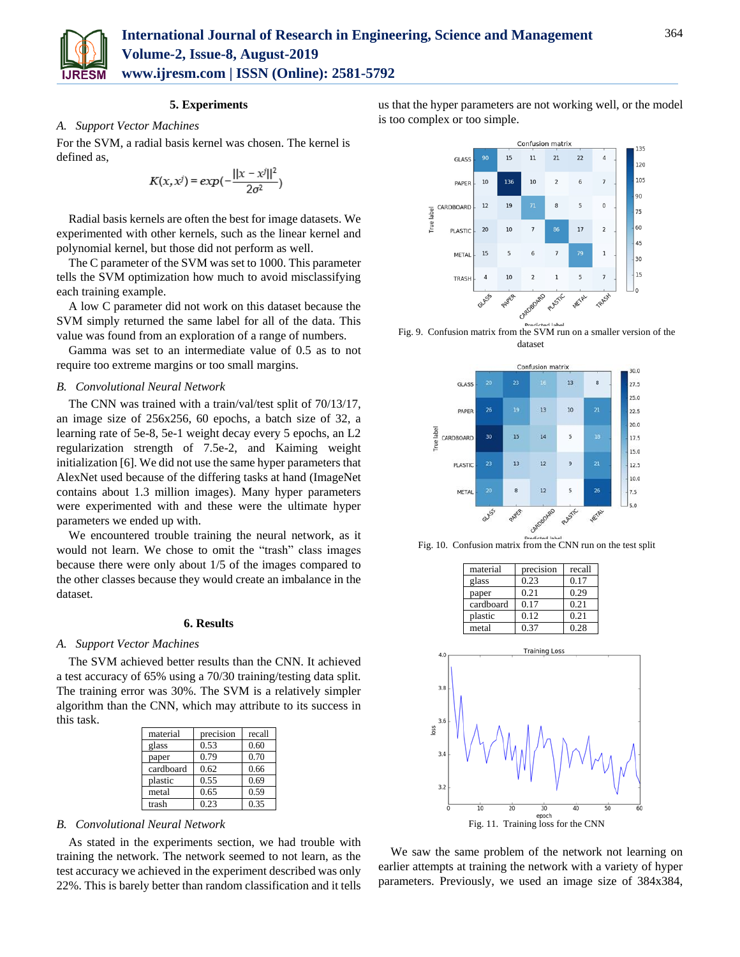

# **5. Experiments**

# *A. Support Vector Machines*

For the SVM, a radial basis kernel was chosen. The kernel is defined as,

$$
K(x, x^{j}) = exp(-\frac{||x - x^{j}||^{2}}{2\sigma^{2}})
$$

Radial basis kernels are often the best for image datasets. We experimented with other kernels, such as the linear kernel and polynomial kernel, but those did not perform as well.

The C parameter of the SVM was set to 1000. This parameter tells the SVM optimization how much to avoid misclassifying each training example.

A low C parameter did not work on this dataset because the SVM simply returned the same label for all of the data. This value was found from an exploration of a range of numbers.

Gamma was set to an intermediate value of 0.5 as to not require too extreme margins or too small margins.

# *B. Convolutional Neural Network*

The CNN was trained with a train/val/test split of 70/13/17, an image size of 256x256, 60 epochs, a batch size of 32, a learning rate of 5e-8, 5e-1 weight decay every 5 epochs, an L2 regularization strength of 7.5e-2, and Kaiming weight initialization [6]. We did not use the same hyper parameters that AlexNet used because of the differing tasks at hand (ImageNet contains about 1.3 million images). Many hyper parameters were experimented with and these were the ultimate hyper parameters we ended up with.

We encountered trouble training the neural network, as it would not learn. We chose to omit the "trash" class images because there were only about 1/5 of the images compared to the other classes because they would create an imbalance in the dataset.

#### **6. Results**

# *A. Support Vector Machines*

The SVM achieved better results than the CNN. It achieved a test accuracy of 65% using a 70/30 training/testing data split. The training error was 30%. The SVM is a relatively simpler algorithm than the CNN, which may attribute to its success in this task.

| material  | precision | recall |
|-----------|-----------|--------|
| glass     | 0.53      | 0.60   |
| paper     | 0.79      | 0.70   |
| cardboard | 0.62      | 0.66   |
| plastic   | 0.55      | 0.69   |
| metal     | 0.65      | 0.59   |
| trash     | 0.23      | 0.35   |

#### *B. Convolutional Neural Network*

As stated in the experiments section, we had trouble with training the network. The network seemed to not learn, as the test accuracy we achieved in the experiment described was only 22%. This is barely better than random classification and it tells

us that the hyper parameters are not working well, or the model is too complex or too simple.



Fig. 9. Confusion matrix from the SVM run on a smaller version of the dataset



Fig. 10. Confusion matrix from the CNN run on the test split

| precision | recall |
|-----------|--------|
| 0.23      | 0.17   |
| 0.21      | 0.29   |
| 0.17      | 0.21   |
| 0.12      | 0.21   |
| 0.37      | 0.28   |
|           |        |



We saw the same problem of the network not learning on earlier attempts at training the network with a variety of hyper parameters. Previously, we used an image size of 384x384,